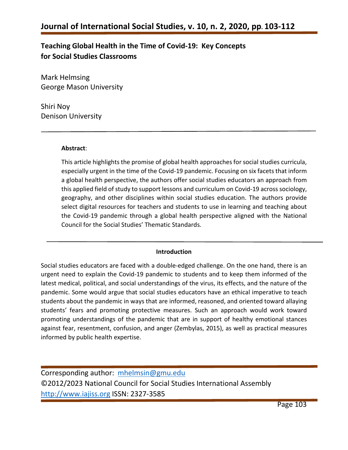## **Teaching Global Health in the Time of Covid-19: Key Concepts for Social Studies Classrooms**

Mark Helmsing George Mason University

Shiri Noy Denison University

#### **Abstract**:

This article highlights the promise of global health approaches for social studies curricula, especially urgent in the time of the Covid-19 pandemic. Focusing on six facets that inform a global health perspective, the authors offer social studies educators an approach from this applied field of study to support lessons and curriculum on Covid-19 across sociology, geography, and other disciplines within social studies education. The authors provide select digital resources for teachers and students to use in learning and teaching about the Covid-19 pandemic through a global health perspective aligned with the National Council for the Social Studies' Thematic Standards.

#### **Introduction**

Social studies educators are faced with a double-edged challenge. On the one hand, there is an urgent need to explain the Covid-19 pandemic to students and to keep them informed of the latest medical, political, and social understandings of the virus, its effects, and the nature of the pandemic. Some would argue that social studies educators have an ethical imperative to teach students about the pandemic in ways that are informed, reasoned, and oriented toward allaying students' fears and promoting protective measures. Such an approach would work toward promoting understandings of the pandemic that are in support of healthy emotional stances against fear, resentment, confusion, and anger (Zembylas, 2015), as well as practical measures informed by public health expertise.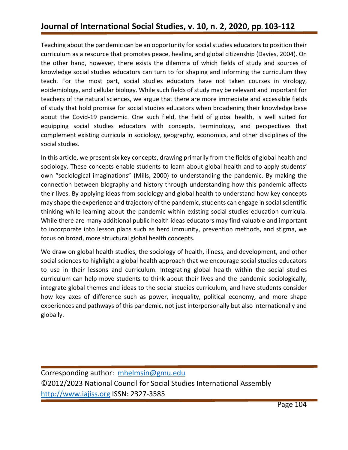# **Journal of International Social Studies, v. 10, n. 2, 2020, pp. 103-112**

Teaching about the pandemic can be an opportunity for social studies educators to position their curriculum as a resource that promotes peace, healing, and global citizenship (Davies, 2004). On the other hand, however, there exists the dilemma of which fields of study and sources of knowledge social studies educators can turn to for shaping and informing the curriculum they teach. For the most part, social studies educators have not taken courses in virology, epidemiology, and cellular biology. While such fields of study may be relevant and important for teachers of the natural sciences, we argue that there are more immediate and accessible fields of study that hold promise for social studies educators when broadening their knowledge base about the Covid-19 pandemic. One such field, the field of global health, is well suited for equipping social studies educators with concepts, terminology, and perspectives that complement existing curricula in sociology, geography, economics, and other disciplines of the social studies.

In this article, we present six key concepts, drawing primarily from the fields of global health and sociology. These concepts enable students to learn about global health and to apply students' own "sociological imaginations" (Mills, 2000) to understanding the pandemic. By making the connection between biography and history through understanding how this pandemic affects their lives. By applying ideas from sociology and global health to understand how key concepts may shape the experience and trajectory of the pandemic, students can engage in social scientific thinking while learning about the pandemic within existing social studies education curricula. While there are many additional public health ideas educators may find valuable and important to incorporate into lesson plans such as herd immunity, prevention methods, and stigma, we focus on broad, more structural global health concepts.

We draw on global health studies, the sociology of health, illness, and development, and other social sciences to highlight a global health approach that we encourage social studies educators to use in their lessons and curriculum. Integrating global health within the social studies curriculum can help move students to think about their lives and the pandemic sociologically, integrate global themes and ideas to the social studies curriculum, and have students consider how key axes of difference such as power, inequality, political economy, and more shape experiences and pathways of this pandemic, not just interpersonally but also internationally and globally.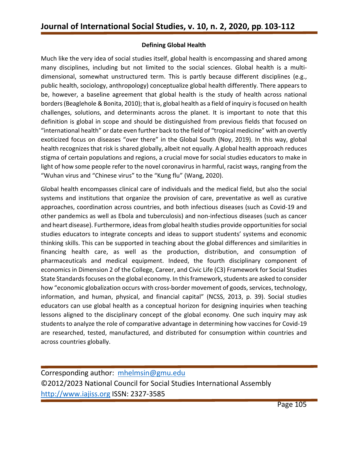### **Defining Global Health**

Much like the very idea of social studies itself, global health is encompassing and shared among many disciplines, including but not limited to the social sciences. Global health is a multidimensional, somewhat unstructured term. This is partly because different disciplines (e.g., public health, sociology, anthropology) conceptualize global health differently. There appears to be, however, a baseline agreement that global health is the study of health across national borders (Beaglehole & Bonita, 2010); that is, global health as a field of inquiry is focused on health challenges, solutions, and determinants across the planet. It is important to note that this definition is global in scope and should be distinguished from previous fields that focused on "international health" or date even further back to the field of "tropical medicine" with an overtly exoticized focus on diseases "over there" in the Global South (Noy, 2019). In this way, global health recognizes that risk is shared globally, albeit not equally. A global health approach reduces stigma of certain populations and regions, a crucial move for social studies educators to make in light of how some people refer to the novel coronavirus in harmful, racist ways, ranging from the "Wuhan virus and "Chinese virus" to the "Kung flu" (Wang, 2020).

Global health encompasses clinical care of individuals and the medical field, but also the social systems and institutions that organize the provision of care, preventative as well as curative approaches, coordination across countries, and both infectious diseases (such as Covid-19 and other pandemics as well as Ebola and tuberculosis) and non-infectious diseases (such as cancer and heart disease). Furthermore, ideas from global health studies provide opportunities for social studies educators to integrate concepts and ideas to support students' systems and economic thinking skills. This can be supported in teaching about the global differences and similarities in financing health care, as well as the production, distribution, and consumption of pharmaceuticals and medical equipment. Indeed, the fourth disciplinary component of economics in Dimension 2 of the College, Career, and Civic Life (C3) Framework for Social Studies State Standards focuses on the global economy. In this framework, students are asked to consider how "economic globalization occurs with cross-border movement of goods, services, technology, information, and human, physical, and financial capital" (NCSS, 2013, p. 39). Social studies educators can use global health as a conceptual horizon for designing inquiries when teaching lessons aligned to the disciplinary concept of the global economy. One such inquiry may ask students to analyze the role of comparative advantage in determining how vaccines for Covid-19 are researched, tested, manufactured, and distributed for consumption within countries and across countries globally.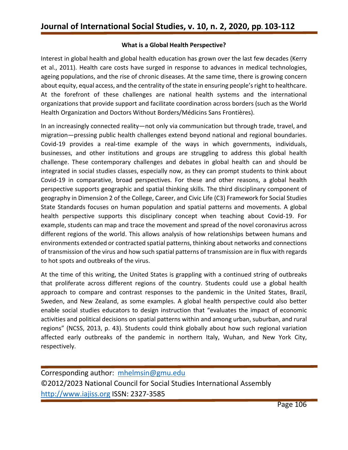#### **What is a Global Health Perspective?**

Interest in global health and global health education has grown over the last few decades (Kerry et al., 2011). Health care costs have surged in response to advances in medical technologies, ageing populations, and the rise of chronic diseases. At the same time, there is growing concern about equity, equal access, and the centrality of the state in ensuring people's right to healthcare. At the forefront of these challenges are national health systems and the international organizations that provide support and facilitate coordination across borders (such as the World Health Organization and Doctors Without Borders/Médicins Sans Frontières).

In an increasingly connected reality—not only via communication but through trade, travel, and migration—pressing public health challenges extend beyond national and regional boundaries. Covid-19 provides a real-time example of the ways in which governments, individuals, businesses, and other institutions and groups are struggling to address this global health challenge. These contemporary challenges and debates in global health can and should be integrated in social studies classes, especially now, as they can prompt students to think about Covid-19 in comparative, broad perspectives. For these and other reasons, a global health perspective supports geographic and spatial thinking skills. The third disciplinary component of geography in Dimension 2 of the College, Career, and Civic Life (C3) Framework for Social Studies State Standards focuses on human population and spatial patterns and movements. A global health perspective supports this disciplinary concept when teaching about Covid-19. For example, students can map and trace the movement and spread of the novel coronavirus across different regions of the world. This allows analysis of how relationships between humans and environments extended or contracted spatial patterns, thinking about networks and connections of transmission of the virus and how such spatial patterns of transmission are in flux with regards to hot spots and outbreaks of the virus.

At the time of this writing, the United States is grappling with a continued string of outbreaks that proliferate across different regions of the country. Students could use a global health approach to compare and contrast responses to the pandemic in the United States, Brazil, Sweden, and New Zealand, as some examples. A global health perspective could also better enable social studies educators to design instruction that "evaluates the impact of economic activities and political decisions on spatial patterns within and among urban, suburban, and rural regions" (NCSS, 2013, p. 43). Students could think globally about how such regional variation affected early outbreaks of the pandemic in northern Italy, Wuhan, and New York City, respectively.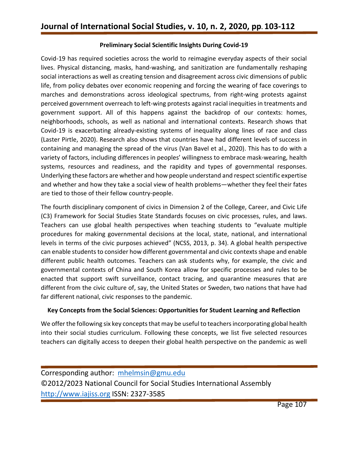### **Preliminary Social Scientific Insights During Covid-19**

Covid-19 has required societies across the world to reimagine everyday aspects of their social lives. Physical distancing, masks, hand-washing, and sanitization are fundamentally reshaping social interactions as well as creating tension and disagreement across civic dimensions of public life, from policy debates over economic reopening and forcing the wearing of face coverings to marches and demonstrations across ideological spectrums, from right-wing protests against perceived government overreach to left-wing protests against racial inequities in treatments and government support. All of this happens against the backdrop of our contexts: homes, neighborhoods, schools, as well as national and international contexts. Research shows that Covid-19 is exacerbating already-existing systems of inequality along lines of race and class (Laster Pirtle, 2020). Research also shows that countries have had different levels of success in containing and managing the spread of the virus (Van Bavel et al., 2020). This has to do with a variety of factors, including differences in peoples' willingness to embrace mask-wearing, health systems, resources and readiness, and the rapidity and types of governmental responses. Underlying these factors are whether and how people understand and respect scientific expertise and whether and how they take a social view of health problems—whether they feel their fates are tied to those of their fellow country-people.

The fourth disciplinary component of civics in Dimension 2 of the College, Career, and Civic Life (C3) Framework for Social Studies State Standards focuses on civic processes, rules, and laws. Teachers can use global health perspectives when teaching students to "evaluate multiple procedures for making governmental decisions at the local, state, national, and international levels in terms of the civic purposes achieved" (NCSS, 2013, p. 34). A global health perspective can enable students to consider how different governmental and civic contexts shape and enable different public health outcomes. Teachers can ask students why, for example, the civic and governmental contexts of China and South Korea allow for specific processes and rules to be enacted that support swift surveillance, contact tracing, and quarantine measures that are different from the civic culture of, say, the United States or Sweden, two nations that have had far different national, civic responses to the pandemic.

### **Key Concepts from the Social Sciences: Opportunities for Student Learning and Reflection**

We offer the following six key concepts that may be useful to teachers incorporating global health into their social studies curriculum. Following these concepts, we list five selected resources teachers can digitally access to deepen their global health perspective on the pandemic as well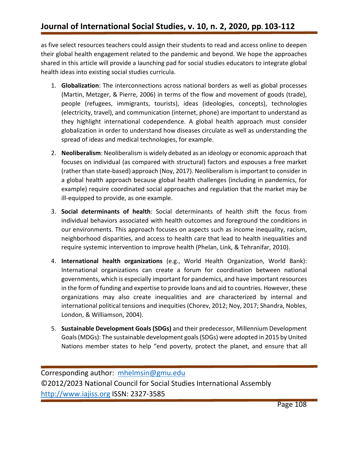as five select resources teachers could assign their students to read and access online to deepen their global health engagement related to the pandemic and beyond. We hope the approaches shared in this article will provide a launching pad for social studies educators to integrate global health ideas into existing social studies curricula.

- 1. **Globalization**: The interconnections across national borders as well as global processes (Martin, Metzger, & Pierre, 2006) in terms of the flow and movement of goods (trade), people (refugees, immigrants, tourists), ideas (ideologies, concepts), technologies (electricity, travel), and communication (internet, phone) are important to understand as they highlight international codependence. A global health approach must consider globalization in order to understand how diseases circulate as well as understanding the spread of ideas and medical technologies, for example.
- 2. **Neoliberalism**: Neoliberalism is widely debated as an ideology or economic approach that focuses on individual (as compared with structural) factors and espouses a free market (rather than state-based) approach (Noy, 2017). Neoliberalism is important to consider in a global health approach because global health challenges (including in pandemics, for example) require coordinated social approaches and regulation that the market may be ill-equipped to provide, as one example.
- 3. **Social determinants of health**: Social determinants of health shift the focus from individual behaviors associated with health outcomes and foreground the conditions in our environments. This approach focuses on aspects such as income inequality, racism, neighborhood disparities, and access to health care that lead to health inequalities and require systemic intervention to improve health (Phelan, Link, & Tehranifar, 2010).
- 4. **International health organizations** (e.g., World Health Organization, World Bank): International organizations can create a forum for coordination between national governments, which is especially important for pandemics, and have important resources in the form of funding and expertise to provide loans and aid to countries. However, these organizations may also create inequalities and are characterized by internal and international political tensions and inequities (Chorev, 2012; Noy, 2017; Shandra, Nobles, London, & Williamson, 2004).
- 5. **Sustainable Development Goals (SDGs)** and their predecessor, Millennium Development Goals (MDGs): The sustainable development goals (SDGs) were adopted in 2015 by United Nations member states to help "end poverty, protect the planet, and ensure that all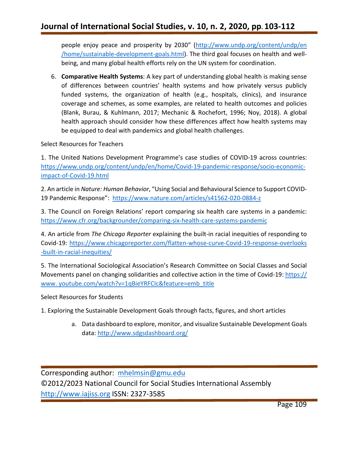people enjoy peace and prosperity by 2030" [\(http://www.undp.org/content/undp/en](http://www.undp.org/content/undp/en%20/home/sustainable-development-goals.html)  [/home/sustainable-development-goals.html\)](http://www.undp.org/content/undp/en%20/home/sustainable-development-goals.html). The third goal focuses on health and wellbeing, and many global health efforts rely on the UN system for coordination.

6. **Comparative Health Systems**: A key part of understanding global health is making sense of differences between countries' health systems and how privately versus publicly funded systems, the organization of health (e.g., hospitals, clinics), and insurance coverage and schemes, as some examples, are related to health outcomes and policies (Blank, Burau, & Kuhlmann, 2017; Mechanic & Rochefort, 1996; Noy, 2018). A global health approach should consider how these differences affect how health systems may be equipped to deal with pandemics and global health challenges.

Select Resources for Teachers

1. The United Nations Development Programme's case studies of COVID-19 across countries: [https://www.undp.org/content/undp/en/home/Covid-19-pandemic-response/socio-economic](https://www.undp.org/content/undp/en/home/covid-19-pandemic-response/socio-economic-impact-of-covid-19.html)[impact-of-Covid-19.html](https://www.undp.org/content/undp/en/home/covid-19-pandemic-response/socio-economic-impact-of-covid-19.html)

2. An article in *Nature: Human Behavior*, "Using Social and Behavioural Science to Support COVID-19 Pandemic Response": <https://www.nature.com/articles/s41562-020-0884-z>

3. The Council on Foreign Relations' report comparing six health care systems in a pandemic: <https://www.cfr.org/backgrounder/comparing-six-health-care-systems-pandemic>

4. An article from *The Chicago Reporter* explaining the built-in racial inequities of responding to Covid-19: [https://www.chicagoreporter.com/flatten-whose-curve-Covid-19-response-overlooks](https://www.chicagoreporter.com/flatten-whose-curve-Covid-19-response-overlooks%20-built-in-racial-inequities/)  [-built-in-racial-inequities/](https://www.chicagoreporter.com/flatten-whose-curve-Covid-19-response-overlooks%20-built-in-racial-inequities/)

5. The International Sociological Association's Research Committee on Social Classes and Social Movements panel on changing solidarities and collective action in the time of Covid-19: https:// www. youtube.com/watch?v=1qBieYRFCIc&feature=emb\_title

Select Resources for Students

1. Exploring the Sustainable Development Goals through facts, figures, and short articles

a. Data dashboard to explore, monitor, and visualize Sustainable Development Goals data[: http://www.sdgsdashboard.org/](http://www.sdgsdashboard.org/)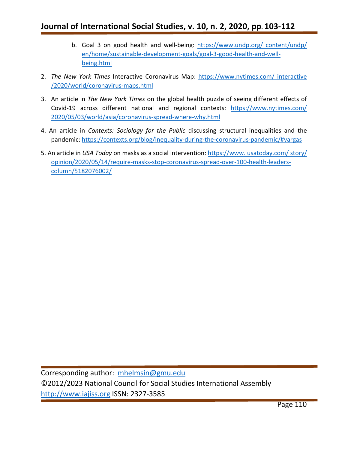## **Journal of International Social Studies, v. 10, n. 2, 2020, pp. 103-112**

- b. Goal 3 on good health and well-being: [https://www.undp.org/ content/undp/](https://www.undp.org/%20content/undp/%20en/home/sustainable-development-goals/goal-3-good-health-and-well-being.html)  [en/home/sustainable-development-goals/goal-3-good-health-and-well](https://www.undp.org/%20content/undp/%20en/home/sustainable-development-goals/goal-3-good-health-and-well-being.html)[being.html](https://www.undp.org/%20content/undp/%20en/home/sustainable-development-goals/goal-3-good-health-and-well-being.html)
- 2. *The New York Times* Interactive Coronavirus Map: [https://www.nytimes.com/ interactive](https://www.nytimes.com/%20interactive%20/2020/world/coronavirus-maps.html)  [/2020/world/coronavirus-maps.html](https://www.nytimes.com/%20interactive%20/2020/world/coronavirus-maps.html)
- 3. An article in *The New York Times* on the global health puzzle of seeing different effects of Covid-19 across different national and regional contexts: https://www.nytimes.com/ [2020/05/03/world/asia/coronavirus-spread-where-why.html](https://www.nytimes.com/%202020/05/03/world/asia/coronavirus-spread-where-why.html)
- 4. An article in *Contexts: Sociology for the Public* discussing structural inequalities and the pandemic:<https://contexts.org/blog/inequality-during-the-coronavirus-pandemic/#vargas>
- 5. An article in *USA Today* on masks as a social intervention: https://www. usatoday.com/ story/ opinion/2020/05/14/require-masks-stop-coronavirus-spread-over-100-health-leaderscolumn/5182076002/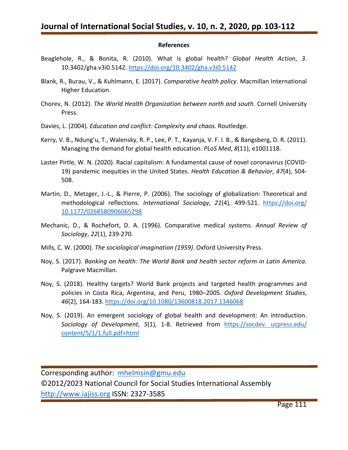#### **References**

- Beaglehole, R., & Bonita, R. (2010). What is global health? *Global Health Action*, *3*. 10.3402/gha.v3i0.5142.<https://doi.org/10.3402/gha.v3i0.5142>
- Blank, R., Burau, V., & Kuhlmann, E. (2017). *Comparative health policy*. Macmillan International Higher Education.
- Chorev, N. (2012). *The World Health Organization between north and south*. Cornell University Press.
- Davies, L. (2004). *Education and conflict: Complexity and chaos.* Routledge.
- Kerry, V. B., Ndung'u, T., Walensky, R. P., Lee, P. T., Kayanja, V. F. I. B., & Bangsberg, D. R. (2011). Managing the demand for global health education. *PLoS Med*, *8*(11), e1001118.
- Laster Pirtle, W. N. (2020). Racial capitalism: A fundamental cause of novel coronavirus (COVID-19) pandemic inequities in the United States. *Health Education & Behavior*, *47*(4), 504- 508.
- Martin, D., Metzger, J.-L., & Pierre, P. (2006). The sociology of globalization: Theoretical and methodological reflections. *International Sociology*, *21*(4), 499-521. [https://doi.org/](https://doi.org/%2010.1177/0268580906065298)  [10.1177/0268580906065298](https://doi.org/%2010.1177/0268580906065298)
- Mechanic, D., & Rochefort, D. A. (1996). Comparative medical systems. *Annual Review of Sociology*, *22*(1), 239-270.
- Mills, C. W. (2000). *The sociological imagination (1959)*. Oxford University Press.
- Noy, S. (2017). *Banking on health: The World Bank and health sector reform in Latin America*. Palgrave Macmillan.
- Noy, S. (2018). Healthy targets? World Bank projects and targeted health programmes and policies in Costa Rica, Argentina, and Peru, 1980–2005. *Oxford Development Studies*, *46*(2), 164-183.<https://doi.org/10.1080/13600818.2017.1346068>
- Noy, S. (2019). An emergent sociology of global health and development: An introduction. *Sociology of Development*, *5*(1), 1-8. Retrieved from https://socdev. ucpress.edu/ content/5/1/1.full.pdf+html